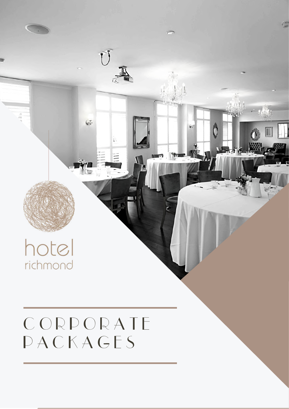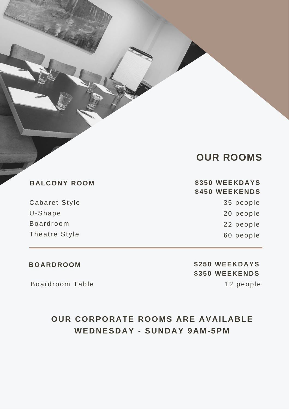|  | <b>OUR ROOMS</b> |
|--|------------------|
|--|------------------|

**BALCONY ROOM \$350 WEEKDAYS \$450 WEEKENDS** 35 people 20 people 22 people 60 people

Theatre Style

Cabaret Style

U-Shape

Boardroom

Boardroom Table 12 people

**BOARDROOM \$250 WEEKDAYS \$350 WEEKENDS**

### **OUR CORPORATE ROOMS ARE AVAILABLE WEDNESDAY - SUNDAY 9AM-5PM**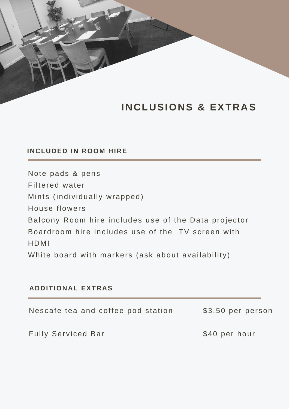## **INCLUSIONS & EXTRAS**

### **INCLUDED IN ROOM HIRE**

Note pads & pens Filtered water Mints (individually wrapped) House flowers Balcony Room hire includes use of the Data projector Boardroom hire includes use of the TV screen with HDMI White board with markers (ask about availability)

### **ADDITIONAL EXTRAS**

| Nescafe tea and coffee pod station | \$3.50 per person |
|------------------------------------|-------------------|
| <b>Fully Serviced Bar</b>          | \$40 per hour     |